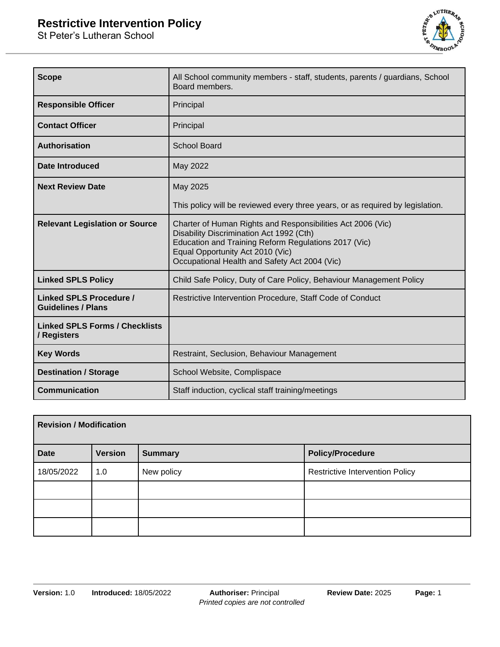# **Restrictive Intervention Policy**

St Peter's Lutheran School



| <b>Scope</b>                                         | All School community members - staff, students, parents / guardians, School<br>Board members.                                                                                                                                                        |  |
|------------------------------------------------------|------------------------------------------------------------------------------------------------------------------------------------------------------------------------------------------------------------------------------------------------------|--|
| <b>Responsible Officer</b>                           | Principal                                                                                                                                                                                                                                            |  |
| <b>Contact Officer</b>                               | Principal                                                                                                                                                                                                                                            |  |
| Authorisation                                        | <b>School Board</b>                                                                                                                                                                                                                                  |  |
| Date Introduced                                      | May 2022                                                                                                                                                                                                                                             |  |
| <b>Next Review Date</b>                              | May 2025                                                                                                                                                                                                                                             |  |
|                                                      | This policy will be reviewed every three years, or as required by legislation.                                                                                                                                                                       |  |
| <b>Relevant Legislation or Source</b>                | Charter of Human Rights and Responsibilities Act 2006 (Vic)<br>Disability Discrimination Act 1992 (Cth)<br>Education and Training Reform Regulations 2017 (Vic)<br>Equal Opportunity Act 2010 (Vic)<br>Occupational Health and Safety Act 2004 (Vic) |  |
| <b>Linked SPLS Policy</b>                            | Child Safe Policy, Duty of Care Policy, Behaviour Management Policy                                                                                                                                                                                  |  |
| Linked SPLS Procedure /<br><b>Guidelines / Plans</b> | Restrictive Intervention Procedure, Staff Code of Conduct                                                                                                                                                                                            |  |
| <b>Linked SPLS Forms / Checklists</b><br>/ Registers |                                                                                                                                                                                                                                                      |  |
| <b>Key Words</b>                                     | Restraint, Seclusion, Behaviour Management                                                                                                                                                                                                           |  |
| <b>Destination / Storage</b>                         | School Website, Complispace                                                                                                                                                                                                                          |  |
| <b>Communication</b>                                 | Staff induction, cyclical staff training/meetings                                                                                                                                                                                                    |  |

| <b>Revision / Modification</b> |                |                |                                        |
|--------------------------------|----------------|----------------|----------------------------------------|
| <b>Date</b>                    | <b>Version</b> | <b>Summary</b> | <b>Policy/Procedure</b>                |
| 18/05/2022                     | 1.0            | New policy     | <b>Restrictive Intervention Policy</b> |
|                                |                |                |                                        |
|                                |                |                |                                        |
|                                |                |                |                                        |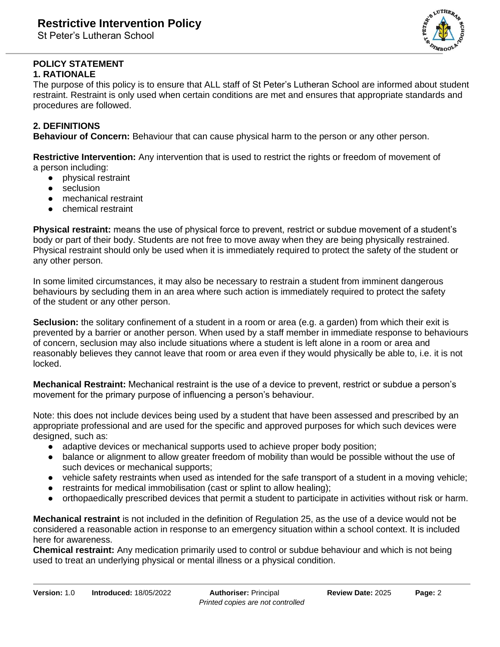St Peter's Lutheran School



#### **POLICY STATEMENT 1. RATIONALE**

The purpose of this policy is to ensure that ALL staff of St Peter's Lutheran School are informed about student restraint. Restraint is only used when certain conditions are met and ensures that appropriate standards and procedures are followed.

## **2. DEFINITIONS**

**Behaviour of Concern:** Behaviour that can cause physical harm to the person or any other person.

**Restrictive Intervention:** Any intervention that is used to restrict the rights or freedom of movement of a person including:

- physical restraint
- seclusion
- mechanical restraint
- chemical restraint

**Physical restraint:** means the use of physical force to prevent, restrict or subdue movement of a student's body or part of their body. Students are not free to move away when they are being physically restrained. Physical restraint should only be used when it is immediately required to protect the safety of the student or any other person.

In some limited circumstances, it may also be necessary to restrain a student from imminent dangerous behaviours by secluding them in an area where such action is immediately required to protect the safety of the student or any other person.

**Seclusion:** the solitary confinement of a student in a room or area (e.g. a garden) from which their exit is prevented by a barrier or another person. When used by a staff member in immediate response to behaviours of concern, seclusion may also include situations where a student is left alone in a room or area and reasonably believes they cannot leave that room or area even if they would physically be able to, i.e. it is not locked.

**Mechanical Restraint:** Mechanical restraint is the use of a device to prevent, restrict or subdue a person's movement for the primary purpose of influencing a person's behaviour.

Note: this does not include devices being used by a student that have been assessed and prescribed by an appropriate professional and are used for the specific and approved purposes for which such devices were designed, such as:

- adaptive devices or mechanical supports used to achieve proper body position;
- balance or alignment to allow greater freedom of mobility than would be possible without the use of such devices or mechanical supports;
- vehicle safety restraints when used as intended for the safe transport of a student in a moving vehicle;
- restraints for medical immobilisation (cast or splint to allow healing);
- orthopaedically prescribed devices that permit a student to participate in activities without risk or harm.

**Mechanical restraint** is not included in the definition of Regulation 25, as the use of a device would not be considered a reasonable action in response to an emergency situation within a school context. It is included here for awareness.

**Chemical restraint:** Any medication primarily used to control or subdue behaviour and which is not being used to treat an underlying physical or mental illness or a physical condition.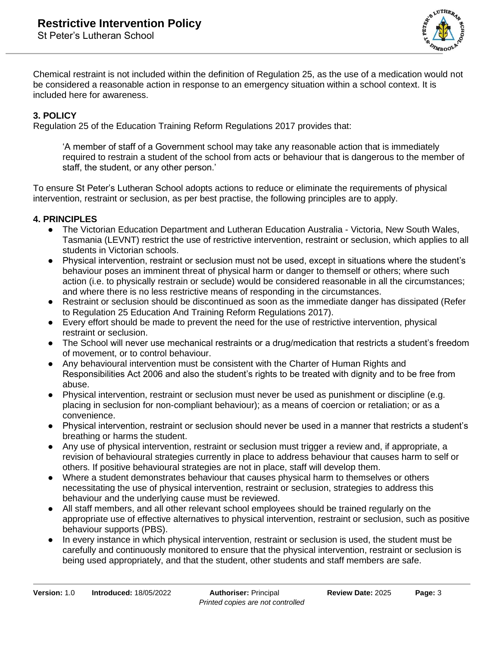

Chemical restraint is not included within the definition of Regulation 25, as the use of a medication would not be considered a reasonable action in response to an emergency situation within a school context. It is included here for awareness.

#### **3. POLICY**

Regulation 25 of the Education Training Reform Regulations 2017 provides that:

'A member of staff of a Government school may take any reasonable action that is immediately required to restrain a student of the school from acts or behaviour that is dangerous to the member of staff, the student, or any other person.'

To ensure St Peter's Lutheran School adopts actions to reduce or eliminate the requirements of physical intervention, restraint or seclusion, as per best practise, the following principles are to apply.

### **4. PRINCIPLES**

- The Victorian Education Department and Lutheran Education Australia Victoria, New South Wales, Tasmania (LEVNT) restrict the use of restrictive intervention, restraint or seclusion, which applies to all students in Victorian schools.
- Physical intervention, restraint or seclusion must not be used, except in situations where the student's behaviour poses an imminent threat of physical harm or danger to themself or others; where such action (i.e. to physically restrain or seclude) would be considered reasonable in all the circumstances; and where there is no less restrictive means of responding in the circumstances.
- Restraint or seclusion should be discontinued as soon as the immediate danger has dissipated (Refer to Regulation 25 Education And Training Reform Regulations 2017).
- Every effort should be made to prevent the need for the use of restrictive intervention, physical restraint or seclusion.
- The School will never use mechanical restraints or a drug/medication that restricts a student's freedom of movement, or to control behaviour.
- Any behavioural intervention must be consistent with the Charter of Human Rights and Responsibilities Act 2006 and also the student's rights to be treated with dignity and to be free from abuse.
- Physical intervention, restraint or seclusion must never be used as punishment or discipline (e.g. placing in seclusion for non-compliant behaviour); as a means of coercion or retaliation; or as a convenience.
- Physical intervention, restraint or seclusion should never be used in a manner that restricts a student's breathing or harms the student.
- Any use of physical intervention, restraint or seclusion must trigger a review and, if appropriate, a revision of behavioural strategies currently in place to address behaviour that causes harm to self or others. If positive behavioural strategies are not in place, staff will develop them.
- Where a student demonstrates behaviour that causes physical harm to themselves or others necessitating the use of physical intervention, restraint or seclusion, strategies to address this behaviour and the underlying cause must be reviewed.
- All staff members, and all other relevant school employees should be trained regularly on the appropriate use of effective alternatives to physical intervention, restraint or seclusion, such as positive behaviour supports (PBS).
- In every instance in which physical intervention, restraint or seclusion is used, the student must be carefully and continuously monitored to ensure that the physical intervention, restraint or seclusion is being used appropriately, and that the student, other students and staff members are safe.